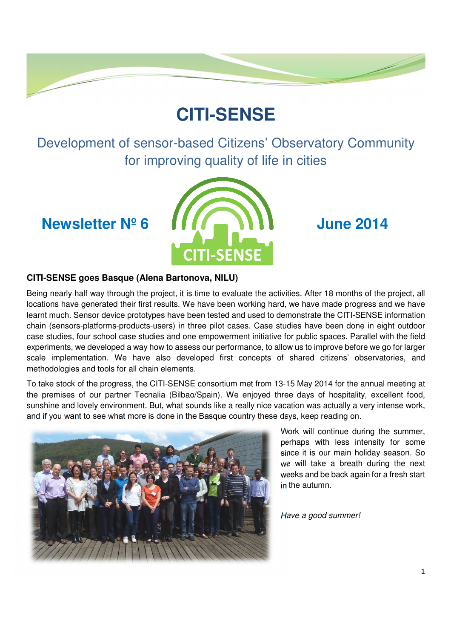# **CITI-SENSE**

Development of sensor-based Citizens' Observatory Community for improving quality of life in cities



### **CITI-SENSE goes Basque (Alena Bartonova, NILU)**

Being nearly half way through the project, it is time to evaluate the activities. After 18 months of the project, all locations have generated their first results. We have been working hard, we have made progress and we have learnt much. Sensor device prototypes have been tested and used to demonstrate the CITI-SENSE information chain (sensors-platforms-products-users) in three pilot cases. Case studies have been done in eight outdoor case studies, four school case studies and one empowerment initiative for public spaces. Parallel with the field experiments, we developed a way how to assess our performance, to allow us to improve before we go for larger scale implementation. We have also developed first concepts of shared citizens' observatories, and methodologies and tools for all chain elements.

To take stock of the progress, the CITI-SENSE consortium met from 13-15 May 2014 for the annual meeting at the premises of our partner Tecnalia (Bilbao/Spain). We enjoyed three days of hospitality, excellent food, sunshine and lovely environment. But, what sounds like a really nice vacation was actually a very intense work, and if you want to see what more is done in the Basque country these days, keep reading on.



Work will continue during the summer, perhaps with less intensity for some since it is our main holiday season. So we will take a breath during the next weeks and be back again for a fresh start in the autumn.

Have a good summer!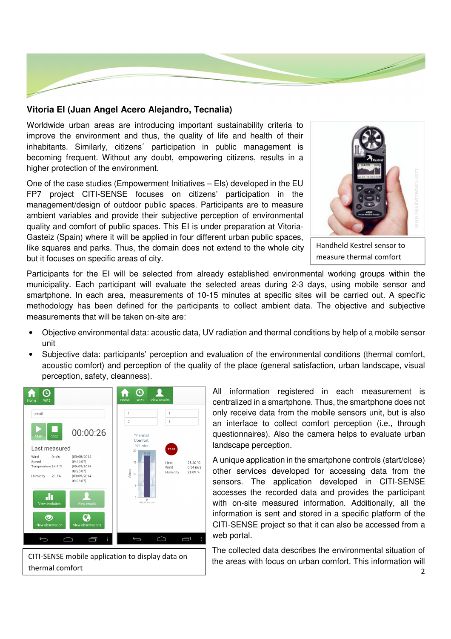

### **Vitoria EI (Juan Angel Acero Alejandro, Tecnalia)**

Worldwide urban areas are introducing important sustainability criteria to improve the environment and thus, the quality of life and health of their inhabitants. Similarly, citizens´ participation in public management is becoming frequent. Without any doubt, empowering citizens, results in a higher protection of the environment.

One of the case studies (Empowerment Initiatives – EIs) developed in the EU FP7 project CITI-SENSE focuses on citizens' participation in the management/design of outdoor public spaces. Participants are to measure ambient variables and provide their subjective perception of environmental quality and comfort of public spaces. This EI is under preparation at Vitoria-Gasteiz (Spain) where it will be applied in four different urban public spaces, like squares and parks. Thus, the domain does not extend to the whole city but it focuses on specific areas of city.



Handheld Kestrel sensor to measure thermal comfort

Participants for the EI will be selected from already established environmental working groups within the municipality. Each participant will evaluate the selected areas during 2-3 days, using mobile sensor and smartphone. In each area, measurements of 10-15 minutes at specific sites will be carried out. A specific methodology has been defined for the participants to collect ambient data. The objective and subjective measurements that will be taken on-site are:

- Objective environmental data: acoustic data, UV radiation and thermal conditions by help of a mobile sensor unit
- Subjective data: participants' perception and evaluation of the environmental conditions (thermal comfort, acoustic comfort) and perception of the quality of the place (general satisfaction, urban landscape, visual perception, safety, cleanness).



CITI-SENSE mobile application to display data on thermal comfort

All information registered in each measurement is centralized in a smartphone. Thus, the smartphone does not only receive data from the mobile sensors unit, but is also an interface to collect comfort perception (i.e., through questionnaires). Also the camera helps to evaluate urban landscape perception.

A unique application in the smartphone controls (start/close) other services developed for accessing data from the sensors. The application developed in CITI-SENSE accesses the recorded data and provides the participant with on-site measured information. Additionally, all the information is sent and stored in a specific platform of the CITI-SENSE project so that it can also be accessed from a web portal.

The collected data describes the environmental situation of the areas with focus on urban comfort. This information will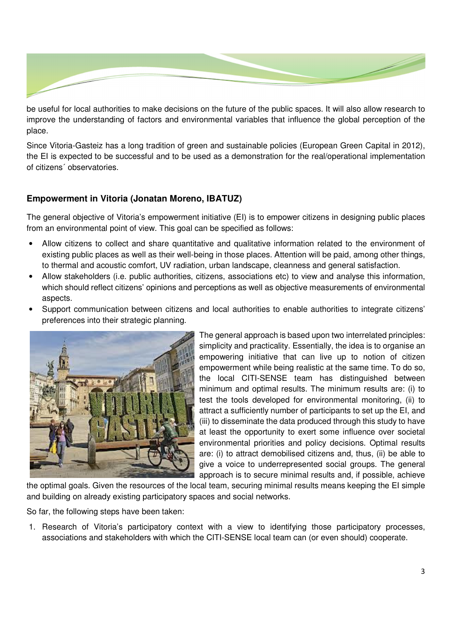

be useful for local authorities to make decisions on the future of the public spaces. It will also allow research to improve the understanding of factors and environmental variables that influence the global perception of the place.

Since Vitoria-Gasteiz has a long tradition of green and sustainable policies (European Green Capital in 2012), the EI is expected to be successful and to be used as a demonstration for the real/operational implementation of citizens´ observatories.

## **Empowerment in Vitoria (Jonatan Moreno, IBATUZ)**

The general objective of Vitoria's empowerment initiative (EI) is to empower citizens in designing public places from an environmental point of view. This goal can be specified as follows:

- Allow citizens to collect and share quantitative and qualitative information related to the environment of existing public places as well as their well-being in those places. Attention will be paid, among other things, to thermal and acoustic comfort, UV radiation, urban landscape, cleanness and general satisfaction.
- Allow stakeholders (i.e. public authorities, citizens, associations etc) to view and analyse this information, which should reflect citizens' opinions and perceptions as well as objective measurements of environmental aspects.
- Support communication between citizens and local authorities to enable authorities to integrate citizens' preferences into their strategic planning.



The general approach is based upon two interrelated principles: simplicity and practicality. Essentially, the idea is to organise an empowering initiative that can live up to notion of citizen empowerment while being realistic at the same time. To do so, the local CITI-SENSE team has distinguished between minimum and optimal results. The minimum results are: (i) to test the tools developed for environmental monitoring, (ii) to attract a sufficiently number of participants to set up the EI, and (iii) to disseminate the data produced through this study to have at least the opportunity to exert some influence over societal environmental priorities and policy decisions. Optimal results are: (i) to attract demobilised citizens and, thus, (ii) be able to give a voice to underrepresented social groups. The general approach is to secure minimal results and, if possible, achieve

the optimal goals. Given the resources of the local team, securing minimal results means keeping the EI simple and building on already existing participatory spaces and social networks.

So far, the following steps have been taken:

1. Research of Vitoria's participatory context with a view to identifying those participatory processes, associations and stakeholders with which the CITI-SENSE local team can (or even should) cooperate.